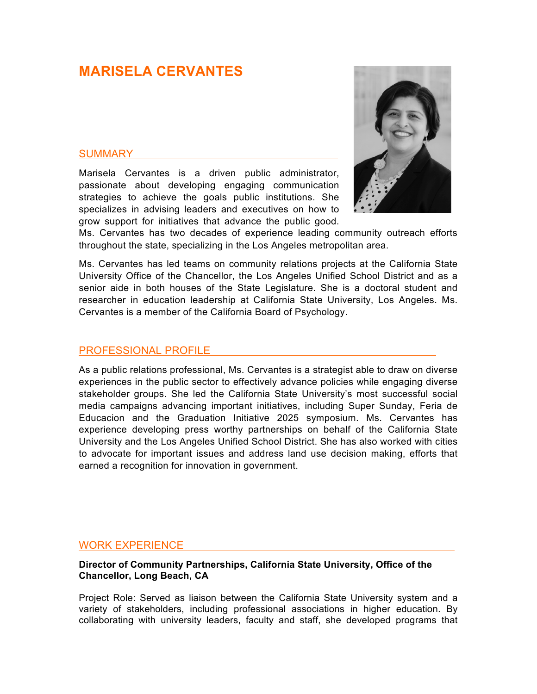# **MARISELA CERVANTES**

# **SUMMARY**

Marisela Cervantes is a driven public administrator, passionate about developing engaging communication strategies to achieve the goals public institutions. She specializes in advising leaders and executives on how to grow support for initiatives that advance the public good.



Ms. Cervantes has two decades of experience leading community outreach efforts throughout the state, specializing in the Los Angeles metropolitan area.

Ms. Cervantes has led teams on community relations projects at the California State University Office of the Chancellor, the Los Angeles Unified School District and as a senior aide in both houses of the State Legislature. She is a doctoral student and researcher in education leadership at California State University, Los Angeles. Ms. Cervantes is a member of the California Board of Psychology.

#### PROFESSIONAL PROFILE

As a public relations professional, Ms. Cervantes is a strategist able to draw on diverse experiences in the public sector to effectively advance policies while engaging diverse stakeholder groups. She led the California State University's most successful social media campaigns advancing important initiatives, including Super Sunday, Feria de Educacion and the Graduation Initiative 2025 symposium. Ms. Cervantes has experience developing press worthy partnerships on behalf of the California State University and the Los Angeles Unified School District. She has also worked with cities to advocate for important issues and address land use decision making, efforts that earned a recognition for innovation in government.

# WORK EXPERIENCE

#### **Director of Community Partnerships, California State University, Office of the Chancellor, Long Beach, CA**

Project Role: Served as liaison between the California State University system and a variety of stakeholders, including professional associations in higher education. By collaborating with university leaders, faculty and staff, she developed programs that